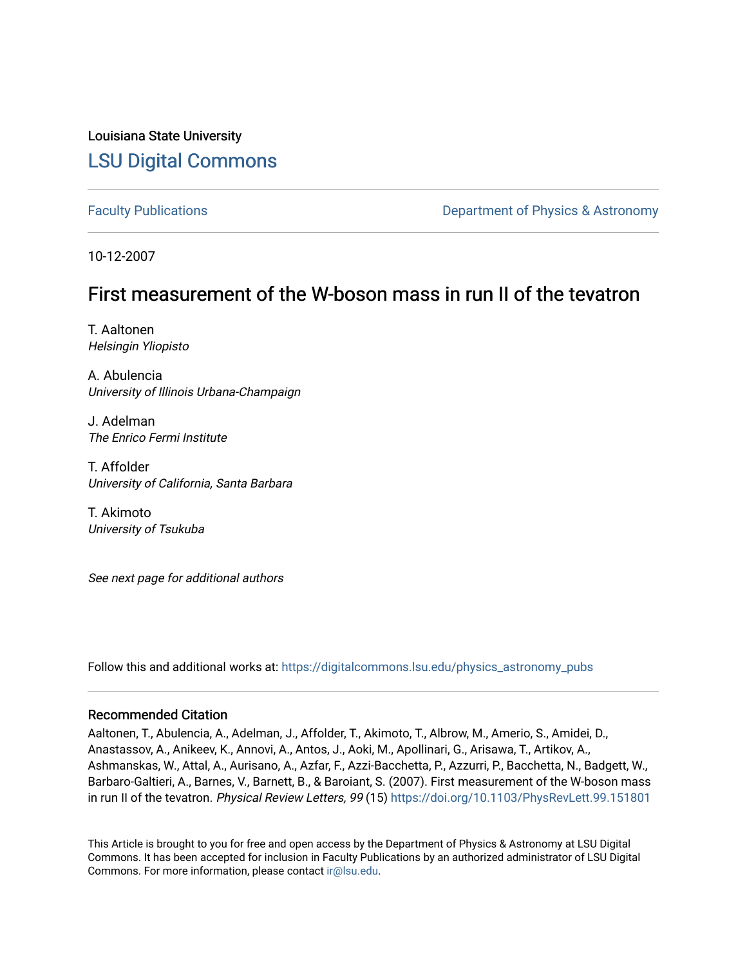Louisiana State University [LSU Digital Commons](https://digitalcommons.lsu.edu/)

[Faculty Publications](https://digitalcommons.lsu.edu/physics_astronomy_pubs) **Exercise 2 and Table 2 and Table 2 and Table 2 and Table 2 and Table 2 and Table 2 and Table 2 and Table 2 and Table 2 and Table 2 and Table 2 and Table 2 and Table 2 and Table 2 and Table 2 and Table** 

10-12-2007

## First measurement of the W-boson mass in run II of the tevatron

T. Aaltonen Helsingin Yliopisto

A. Abulencia University of Illinois Urbana-Champaign

J. Adelman The Enrico Fermi Institute

T. Affolder University of California, Santa Barbara

T. Akimoto University of Tsukuba

See next page for additional authors

Follow this and additional works at: [https://digitalcommons.lsu.edu/physics\\_astronomy\\_pubs](https://digitalcommons.lsu.edu/physics_astronomy_pubs?utm_source=digitalcommons.lsu.edu%2Fphysics_astronomy_pubs%2F2534&utm_medium=PDF&utm_campaign=PDFCoverPages) 

## Recommended Citation

Aaltonen, T., Abulencia, A., Adelman, J., Affolder, T., Akimoto, T., Albrow, M., Amerio, S., Amidei, D., Anastassov, A., Anikeev, K., Annovi, A., Antos, J., Aoki, M., Apollinari, G., Arisawa, T., Artikov, A., Ashmanskas, W., Attal, A., Aurisano, A., Azfar, F., Azzi-Bacchetta, P., Azzurri, P., Bacchetta, N., Badgett, W., Barbaro-Galtieri, A., Barnes, V., Barnett, B., & Baroiant, S. (2007). First measurement of the W-boson mass in run II of the tevatron. Physical Review Letters, 99 (15) https://doi.org/10.1103/PhysRevLett.99.151801

This Article is brought to you for free and open access by the Department of Physics & Astronomy at LSU Digital Commons. It has been accepted for inclusion in Faculty Publications by an authorized administrator of LSU Digital Commons. For more information, please contact [ir@lsu.edu](mailto:ir@lsu.edu).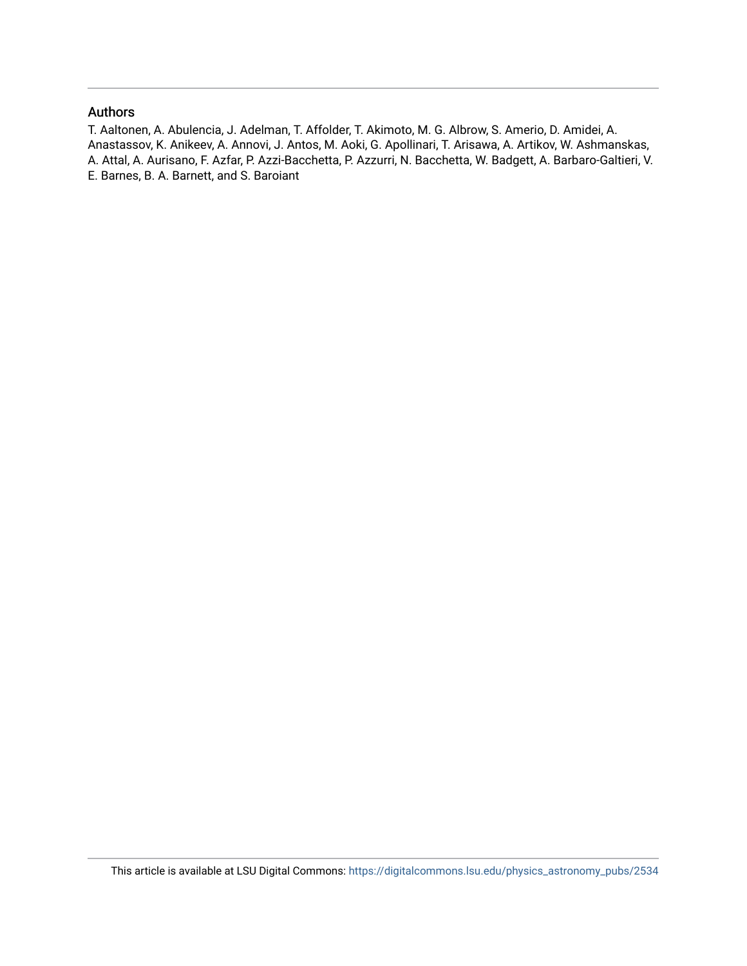## Authors

T. Aaltonen, A. Abulencia, J. Adelman, T. Affolder, T. Akimoto, M. G. Albrow, S. Amerio, D. Amidei, A. Anastassov, K. Anikeev, A. Annovi, J. Antos, M. Aoki, G. Apollinari, T. Arisawa, A. Artikov, W. Ashmanskas, A. Attal, A. Aurisano, F. Azfar, P. Azzi-Bacchetta, P. Azzurri, N. Bacchetta, W. Badgett, A. Barbaro-Galtieri, V. E. Barnes, B. A. Barnett, and S. Baroiant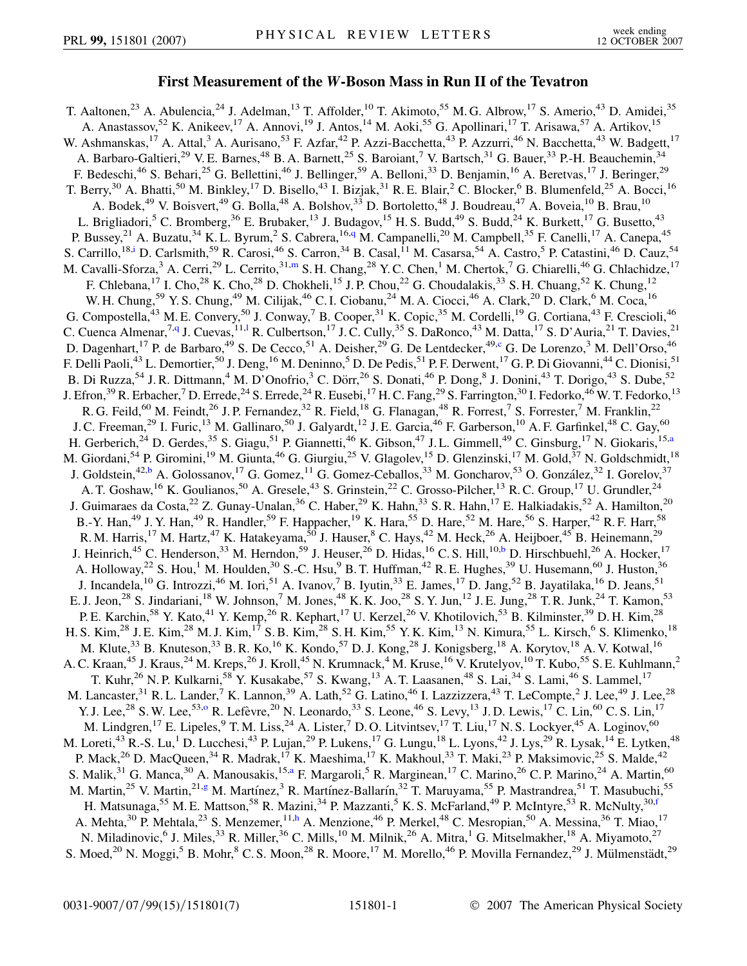## **First Measurement of the** *W***-Boson Mass in Run II of the Tevatron**

<span id="page-2-9"></span><span id="page-2-8"></span><span id="page-2-7"></span><span id="page-2-6"></span><span id="page-2-5"></span><span id="page-2-4"></span><span id="page-2-3"></span><span id="page-2-2"></span><span id="page-2-1"></span><span id="page-2-0"></span>T. Aaltonen,<sup>23</sup> A. Abulencia,<sup>24</sup> J. Adelman,<sup>13</sup> T. Affolder,<sup>10</sup> T. Akimoto,<sup>55</sup> M. G. Albrow,<sup>17</sup> S. Amerio,<sup>43</sup> D. Amidei,<sup>35</sup> A. Anastassov,<sup>52</sup> K. Anikeev,<sup>17</sup> A. Annovi,<sup>19</sup> J. Antos,<sup>14</sup> M. Aoki,<sup>55</sup> G. Apollinari,<sup>17</sup> T. Arisawa,<sup>57</sup> A. Artikov,<sup>15</sup> W. Ashmanskas,<sup>17</sup> A. Attal,<sup>3</sup> A. Aurisano,<sup>53</sup> F. Azfar,<sup>42</sup> P. Azzi-Bacchetta,<sup>43</sup> P. Azzurri,<sup>46</sup> N. Bacchetta,<sup>43</sup> W. Badgett,<sup>17</sup> A. Barbaro-Galtieri,<sup>29</sup> V. E. Barnes,<sup>48</sup> B. A. Barnett,<sup>25</sup> S. Baroiant,<sup>7</sup> V. Bartsch,<sup>31</sup> G. Bauer,<sup>33</sup> P.-H. Beauchemin,<sup>34</sup> F. Bedeschi,<sup>46</sup> S. Behari,<sup>25</sup> G. Bellettini,<sup>46</sup> J. Bellinger,<sup>59</sup> A. Belloni,<sup>33</sup> D. Benjamin,<sup>16</sup> A. Beretvas,<sup>17</sup> J. Beringer,<sup>29</sup> T. Berry,<sup>30</sup> A. Bhatti,<sup>50</sup> M. Binkley,<sup>17</sup> D. Bisello,<sup>43</sup> I. Bizjak,<sup>31</sup> R. E. Blair,<sup>2</sup> C. Blocker,<sup>6</sup> B. Blumenfeld,<sup>25</sup> A. Bocci,<sup>16</sup> A. Bodek,<sup>49</sup> V. Boisvert,<sup>49</sup> G. Bolla,<sup>48</sup> A. Bolshov,<sup>33</sup> D. Bortoletto,<sup>48</sup> J. Boudreau,<sup>47</sup> A. Boveia,<sup>10</sup> B. Brau,<sup>10</sup> L. Brigliadori,<sup>5</sup> C. Bromberg,<sup>36</sup> E. Brubaker,<sup>13</sup> J. Budagov,<sup>15</sup> H. S. Budd,<sup>49</sup> S. Budd,<sup>24</sup> K. Burkett,<sup>17</sup> G. Busetto,<sup>43</sup> P. Bussey,<sup>21</sup> A. Buzatu,<sup>34</sup> K. L. Byrum,<sup>2</sup> S. Cabrera,<sup>16,[q](#page-8-0)</sup> M. Campanelli,<sup>20</sup> M. Campbell,<sup>35</sup> F. Canelli,<sup>17</sup> A. Canepa,<sup>45</sup> S. Carrillo,<sup>18[,i](#page-8-1)</sup> D. Carlsmith,<sup>59</sup> R. Carosi,<sup>46</sup> S. Carron,<sup>34</sup> B. Casal,<sup>11</sup> M. Casarsa,<sup>54</sup> A. Castro,<sup>5</sup> P. Catastini,<sup>46</sup> D. Cauz,<sup>54</sup> M. Cavalli-Sforza,<sup>3</sup> A. Cerri,<sup>29</sup> L. Cerrito,<sup>31,[m](#page-8-2)</sup> S. H. Chang,<sup>28</sup> Y. C. Chen,<sup>1</sup> M. Chertok,<sup>7</sup> G. Chiarelli,<sup>46</sup> G. Chlachidze,<sup>17</sup> F. Chlebana,<sup>17</sup> I. Cho,<sup>28</sup> K. Cho,<sup>28</sup> D. Chokheli,<sup>15</sup> J. P. Chou,<sup>22</sup> G. Choudalakis,<sup>33</sup> S. H. Chuang,<sup>52</sup> K. Chung,<sup>12</sup> W. H. Chung,<sup>59</sup> Y. S. Chung,<sup>49</sup> M. Cilijak,<sup>46</sup> C. I. Ciobanu,<sup>24</sup> M. A. Ciocci,<sup>46</sup> A. Clark,<sup>20</sup> D. Clark,<sup>6</sup> M. Coca,<sup>16</sup> G. Compostella,<sup>43</sup> M. E. Convery,<sup>50</sup> J. Conway,<sup>7</sup> B. Cooper,<sup>31</sup> K. Copic,<sup>35</sup> M. Cordelli,<sup>19</sup> G. Cortiana,<sup>43</sup> F. Crescioli,<sup>46</sup> C. Cuenca Almenar,<sup>7[,q](#page-8-0)</sup> J. Cuevas,<sup>11,1</sup> R. Cu[l](#page-8-3)bertson,<sup>17</sup> J.C. Cully,<sup>35</sup> S. DaRonco,<sup>43</sup> M. Datta,<sup>17</sup> S. D'Auria,<sup>21</sup> T. Davies,<sup>21</sup> D. Dagenhart,<sup>17</sup> P. de Barbaro,<sup>49</sup> S. De Cecco,<sup>51</sup> A. Deisher,<sup>29</sup> G. De Lentdecker,<sup>49[,c](#page-8-4)</sup> G. De Lorenzo,<sup>3</sup> M. Dell'Orso,<sup>46</sup> F. Delli Paoli,<sup>43</sup> L. Demortier,<sup>50</sup> J. Deng,<sup>16</sup> M. Deninno,<sup>5</sup> D. De Pedis,<sup>51</sup> P. F. Derwent,<sup>17</sup> G. P. Di Giovanni,<sup>44</sup> C. Dionisi,<sup>51</sup> B. Di Ruzza,<sup>54</sup> J. R. Dittmann,<sup>4</sup> M. D'Onofrio,<sup>3</sup> C. Dörr,<sup>26</sup> S. Donati,<sup>46</sup> P. Dong,<sup>8</sup> J. Donini,<sup>43</sup> T. Dorigo,<sup>43</sup> S. Dube,<sup>52</sup> J. Efron,<sup>39</sup> R. Erbacher,<sup>7</sup> D. Errede,<sup>24</sup> S. Errede,<sup>24</sup> R. Eusebi,<sup>17</sup> H. C. Fang,<sup>29</sup> S. Farrington,<sup>30</sup> I. Fedorko,<sup>46</sup> W. T. Fedorko,<sup>13</sup> R. G. Feild,<sup>60</sup> M. Feindt,<sup>26</sup> J. P. Fernandez,<sup>32</sup> R. Field,<sup>18</sup> G. Flanagan,<sup>48</sup> R. Forrest,<sup>7</sup> S. Forrester,<sup>7</sup> M. Franklin,<sup>22</sup> J. C. Freeman,<sup>29</sup> I. Furic,<sup>13</sup> M. Gallinaro,<sup>50</sup> J. Galyardt,<sup>12</sup> J. E. Garcia,<sup>46</sup> F. Garberson,<sup>10</sup> A. F. Garfinkel,<sup>48</sup> C. Gay,<sup>60</sup> H. Gerberich,<sup>24</sup> D. Gerdes,<sup>35</sup> S. Giagu,<sup>51</sup> P. Giannetti,<sup>46</sup> K. Gibson,<sup>47</sup> J.L. Gimmell,<sup>49</sup> C. Ginsburg,<sup>17</sup> N. Giokaris,<sup>15[,a](#page-8-5)</sup> M. Giordani,<sup>54</sup> P. Giromini,<sup>19</sup> M. Giunta,<sup>46</sup> G. Giurgiu,<sup>25</sup> V. Glagolev,<sup>15</sup> D. Glenzinski,<sup>17</sup> M. Gold,<sup>37</sup> N. Goldschmidt,<sup>18</sup> J. Goldstein,<sup>42[,b](#page-8-6)</sup> A. Golossanov,<sup>17</sup> G. Gomez,<sup>11</sup> G. Gomez-Ceballos,<sup>33</sup> M. Goncharov,<sup>53</sup> O. González,<sup>32</sup> I. Gorelov,<sup>37</sup> A. T. Goshaw, <sup>16</sup> K. Goulianos, <sup>50</sup> A. Gresele, <sup>43</sup> S. Grinstein, <sup>22</sup> C. Grosso-Pilcher, <sup>13</sup> R. C. Group, <sup>17</sup> U. Grundler, <sup>24</sup> J. Guimaraes da Costa,<sup>22</sup> Z. Gunay-Unalan,<sup>36</sup> C. Haber,<sup>29</sup> K. Hahn,<sup>33</sup> S. R. Hahn,<sup>17</sup> E. Halkiadakis,<sup>52</sup> A. Hamilton,<sup>20</sup> B.-Y. Han,<sup>49</sup> J. Y. Han,<sup>49</sup> R. Handler,<sup>59</sup> F. Happacher,<sup>19</sup> K. Hara,<sup>55</sup> D. Hare,<sup>52</sup> M. Hare,<sup>56</sup> S. Harper,<sup>42</sup> R. F. Harr,<sup>58</sup> R. M. Harris,<sup>17</sup> M. Hartz,<sup>47</sup> K. Hatakeyama,<sup>50</sup> J. Hauser,<sup>8</sup> C. Hays,<sup>42</sup> M. Heck,<sup>26</sup> A. Heijboer,<sup>45</sup> B. Heinemann,<sup>29</sup> J. Heinrich,<sup>45</sup> C. Henderson,<sup>33</sup> M. Herndon,<sup>59</sup> J. Heuser,<sup>26</sup> D. Hidas,<sup>16</sup> C. S. Hill,<sup>10,[b](#page-8-6)</sup> D. Hirschbuehl,<sup>26</sup> A. Hocker,<sup>17</sup> A. Holloway,<sup>22</sup> S. Hou,<sup>1</sup> M. Houlden,<sup>30</sup> S.-C. Hsu,<sup>9</sup> B. T. Huffman,<sup>42</sup> R. E. Hughes,<sup>39</sup> U. Husemann,<sup>60</sup> J. Huston,<sup>36</sup> J. Incandela,  $^{10}$  G. Introzzi,  $^{46}$  M. Iori,  $^{51}$  A. Ivanov,  $^{7}$  B. Iyutin,  $^{33}$  E. James,  $^{17}$  D. Jang,  $^{52}$  B. Jayatilaka,  $^{16}$  D. Jeans,  $^{51}$ E. J. Jeon,<sup>28</sup> S. Jindariani,<sup>18</sup> W. Johnson,<sup>7</sup> M. Jones,<sup>48</sup> K. K. Joo,<sup>28</sup> S. Y. Jun,<sup>12</sup> J. E. Jung,<sup>28</sup> T. R. Junk,<sup>24</sup> T. Kamon,<sup>53</sup> P. E. Karchin,<sup>58</sup> Y. Kato,<sup>41</sup> Y. Kemp,<sup>26</sup> R. Kephart,<sup>17</sup> U. Kerzel,<sup>26</sup> V. Khotilovich,<sup>53</sup> B. Kilminster,<sup>39</sup> D. H. Kim,<sup>28</sup> H. S. Kim,<sup>28</sup> J. E. Kim,<sup>28</sup> M. J. Kim,<sup>17</sup> S. B. Kim,<sup>28</sup> S. H. Kim,<sup>55</sup> Y. K. Kim,<sup>13</sup> N. Kimura,<sup>55</sup> L. Kirsch,<sup>6</sup> S. Klimenko,<sup>18</sup> M. Klute,<sup>33</sup> B. Knuteson,<sup>33</sup> B. R. Ko,<sup>16</sup> K. Kondo,<sup>57</sup> D. J. Kong,<sup>28</sup> J. Konigsberg,<sup>18</sup> A. Korytov,<sup>18</sup> A. V. Kotwal,<sup>16</sup> A. C. Kraan,<sup>45</sup> J. Kraus,<sup>24</sup> M. Kreps,<sup>26</sup> J. Kroll,<sup>45</sup> N. Krumnack,<sup>4</sup> M. Kruse,<sup>16</sup> V. Krutelyov,<sup>10</sup> T. Kubo,<sup>55</sup> S. E. Kuhlmann,<sup>2</sup> T. Kuhr,<sup>26</sup> N. P. Kulkarni,<sup>58</sup> Y. Kusakabe,<sup>57</sup> S. Kwang,<sup>13</sup> A. T. Laasanen,<sup>48</sup> S. Lai,<sup>34</sup> S. Lami,<sup>46</sup> S. Lammel,<sup>17</sup> M. Lancaster,<sup>31</sup> R. L. Lander,<sup>7</sup> K. Lannon,<sup>39</sup> A. Lath,<sup>52</sup> G. Latino,<sup>46</sup> I. Lazzizzera,<sup>43</sup> T. LeCompte,<sup>2</sup> J. Lee,<sup>49</sup> J. Lee,<sup>28</sup> Y. J. Lee,<sup>28</sup> S. W. Lee,<sup>53,[o](#page-8-7)</sup> R. Lefèvre,<sup>20</sup> N. Leonardo,<sup>33</sup> S. Leone,<sup>46</sup> S. Levy,<sup>13</sup> J. D. Lewis,<sup>17</sup> C. Lin,<sup>60</sup> C. S. Lin,<sup>17</sup> M. Lindgren,<sup>17</sup> E. Lipeles, <sup>9</sup> T.M. Liss, <sup>24</sup> A. Lister, <sup>7</sup> D.O. Litvintsev, <sup>17</sup> T. Liu, <sup>17</sup> N. S. Lockyer, <sup>45</sup> A. Loginov, <sup>60</sup> M. Loreti,<sup>43</sup> R.-S. Lu,<sup>1</sup> D. Lucchesi,<sup>43</sup> P. Lujan,<sup>29</sup> P. Lukens,<sup>17</sup> G. Lungu,<sup>18</sup> L. Lyons,<sup>42</sup> J. Lys,<sup>29</sup> R. Lysak,<sup>14</sup> E. Lytken,<sup>48</sup> P. Mack,<sup>26</sup> D. MacQueen,<sup>34</sup> R. Madrak,<sup>17</sup> K. Maeshima,<sup>17</sup> K. Makhoul,<sup>33</sup> T. Maki,<sup>23</sup> P. Maksimovic,<sup>25</sup> S. Malde,<sup>42</sup> S. M[a](#page-8-5)lik,<sup>31</sup> G. Manca,<sup>30</sup> A. Manousakis,<sup>15,a</sup> F. Margaroli,<sup>5</sup> R. Marginean,<sup>17</sup> C. Marino,<sup>26</sup> C. P. Marino,<sup>24</sup> A. Martin,<sup>60</sup> M. Martin,<sup>25</sup> V. Martin,<sup>21,[g](#page-8-8)</sup> M. Martínez,<sup>3</sup> R. Martínez-Ballarín,<sup>32</sup> T. Maruyama,<sup>55</sup> P. Mastrandrea,<sup>51</sup> T. Masubuchi,<sup>55</sup> H. Matsunaga,<sup>55</sup> M. E. Mattson,<sup>58</sup> R. Mazini,<sup>34</sup> P. Mazzanti,<sup>5</sup> K. S. McFarland,<sup>49</sup> P. McIntyre,<sup>53</sup> R. McNulty,<sup>30[,f](#page-8-9)</sup> A. Me[h](#page-8-10)ta,<sup>30</sup> P. Mehtala,<sup>23</sup> S. Menzemer,<sup>11,h</sup> A. Menzione,<sup>46</sup> P. Merkel,<sup>48</sup> C. Mesropian,<sup>50</sup> A. Messina,<sup>36</sup> T. Miao,<sup>17</sup> N. Miladinovic, <sup>6</sup> J. Miles, <sup>33</sup> R. Miller, <sup>36</sup> C. Mills, <sup>10</sup> M. Milnik, <sup>26</sup> A. Mitra, <sup>1</sup> G. Mitselmakher, <sup>18</sup> A. Miyamoto, <sup>27</sup> S. Moed,<sup>20</sup> N. Moggi,<sup>5</sup> B. Mohr,<sup>8</sup> C. S. Moon,<sup>28</sup> R. Moore,<sup>17</sup> M. Morello,<sup>46</sup> P. Movilla Fernandez,<sup>29</sup> J. Mülmenstädt,<sup>29</sup>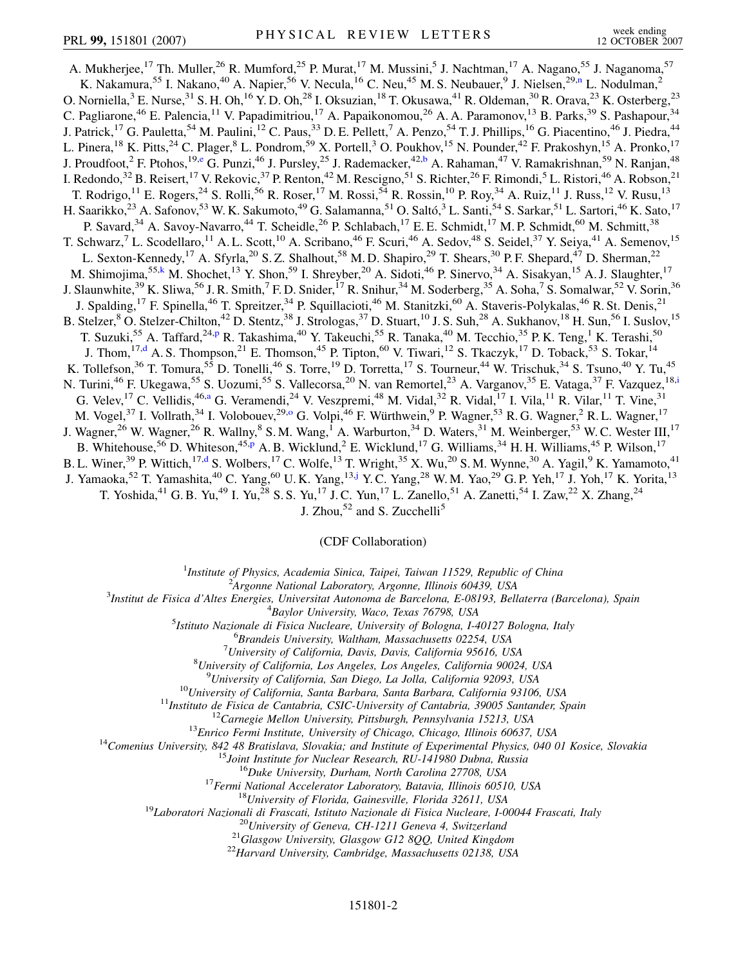<span id="page-3-4"></span><span id="page-3-3"></span><span id="page-3-1"></span>A. Mukherjee,<sup>17</sup> Th. Muller,<sup>26</sup> R. Mumford,<sup>25</sup> P. Murat,<sup>17</sup> M. Mussini,<sup>5</sup> J. Nachtman,<sup>17</sup> A. Nagano,<sup>55</sup> J. Naganoma,<sup>57</sup> K. Nakamura,<sup>55</sup> I. Naka[n](#page-8-11)o,<sup>40</sup> A. Napier,<sup>56</sup> V. Necula,<sup>16</sup> C. Neu,<sup>45</sup> M. S. Neubauer,<sup>9</sup> J. Nielsen,<sup>29,n</sup> L. Nodulman,<sup>2</sup> O. Norniella,<sup>3</sup> E. Nurse,<sup>31</sup> S. H. Oh,<sup>16</sup> Y. D. Oh,<sup>28</sup> I. Oksuzian,<sup>18</sup> T. Okusawa,<sup>41</sup> R. Oldeman,<sup>30</sup> R. Orava,<sup>23</sup> K. Osterberg,<sup>23</sup> C. Pagliarone,<sup>46</sup> E. Palencia,<sup>11</sup> V. Papadimitriou,<sup>17</sup> A. Papaikonomou,<sup>26</sup> A. A. Paramonov,<sup>13</sup> B. Parks,<sup>39</sup> S. Pashapour,<sup>34</sup> J. Patrick,<sup>17</sup> G. Pauletta,<sup>54</sup> M. Paulini,<sup>12</sup> C. Paus,<sup>33</sup> D. E. Pellett,<sup>7</sup> A. Penzo,<sup>54</sup> T. J. Phillips,<sup>16</sup> G. Piacentino,<sup>46</sup> J. Piedra,<sup>44</sup> L. Pinera,<sup>18</sup> K. Pitts,<sup>24</sup> C. Plager,<sup>8</sup> L. Pondrom,<sup>59</sup> X. Portell,<sup>3</sup> O. Poukhov,<sup>15</sup> N. Pounder,<sup>42</sup> F. Prakoshyn,<sup>15</sup> A. Pronko,<sup>17</sup> J. Proudfoot,<sup>2</sup> F. Ptohos,<sup>19,[e](#page-8-12)</sup> G. Punzi,<sup>46</sup> J. Pursley,<sup>25</sup> J. Rademacker,<sup>42,[b](#page-8-6)</sup> A. Rahaman,<sup>47</sup> V. Ramakrishnan,<sup>59</sup> N. Ranjan,<sup>48</sup> I. Redondo,<sup>32</sup> B. Reisert,<sup>17</sup> V. Rekovic,<sup>37</sup> P. Renton,<sup>42</sup> M. Rescigno,<sup>51</sup> S. Richter,<sup>26</sup> F. Rimondi,<sup>5</sup> L. Ristori,<sup>46</sup> A. Robson,<sup>21</sup> T. Rodrigo,  $^{11}$  E. Rogers,  $^{24}$  S. Rolli,  $^{56}$  R. Roser,  $^{17}$  M. Rossi,  $^{54}$  R. Rossin,  $^{10}$  P. Roy,  $^{34}$  A. Ruiz,  $^{11}$  J. Russ,  $^{12}$  V. Rusu,  $^{13}$ H. Saarikko,<sup>23</sup> A. Safonov,<sup>53</sup> W. K. Sakumoto,<sup>49</sup> G. Salamanna,<sup>51</sup> O. Saltó,<sup>3</sup> L. Santi,<sup>54</sup> S. Sarkar,<sup>51</sup> L. Sartori,<sup>46</sup> K. Sato,<sup>17</sup> P. Savard,  $34$  A. Savoy-Navarro,  $44$  T. Scheidle,  $26$  P. Schlabach,  $17$  E. E. Schmidt,  $17$  M. P. Schmidt,  $60$  M. Schmitt,  $38$ T. Schwarz,<sup>7</sup> L. Scodellaro,<sup>11</sup> A. L. Scott,<sup>10</sup> A. Scribano,<sup>46</sup> F. Scuri,<sup>46</sup> A. Sedov,<sup>48</sup> S. Seidel,<sup>37</sup> Y. Seiya,<sup>41</sup> A. Semenov,<sup>15</sup> L. Sexton-Kennedy,<sup>17</sup> A. Sfyrla,<sup>20</sup> S. Z. Shalhout,<sup>58</sup> M. D. Shapiro,<sup>29</sup> T. Shears,<sup>30</sup> P. F. Shepard,<sup>47</sup> D. Sherman,<sup>22</sup> M. Shimojima,<sup>55[,k](#page-8-13)</sup> M. Shochet,<sup>13</sup> Y. Shon,<sup>59</sup> I. Shreyber,<sup>20</sup> A. Sidoti,<sup>46</sup> P. Sinervo,<sup>34</sup> A. Sisakyan,<sup>15</sup> A. J. Slaughter,<sup>17</sup> J. Slaunwhite,<sup>39</sup> K. Sliwa,<sup>56</sup> J. R. Smith,<sup>7</sup> F. D. Snider,<sup>17</sup> R. Snihur,<sup>34</sup> M. Soderberg,<sup>35</sup> A. Soha,<sup>7</sup> S. Somalwar,<sup>52</sup> V. Sorin,<sup>36</sup> J. Spalding,<sup>17</sup> F. Spinella,<sup>46</sup> T. Spreitzer,<sup>34</sup> P. Squillacioti,<sup>46</sup> M. Stanitzki,<sup>60</sup> A. Staveris-Polykalas,<sup>46</sup> R. St. Denis,<sup>21</sup> B. Stelzer,<sup>8</sup> O. Stelzer-Chilton,<sup>42</sup> D. Stentz,<sup>38</sup> J. Strologas,<sup>37</sup> D. Stuart,<sup>10</sup> J. S. Suh,<sup>28</sup> A. Sukhanov,<sup>18</sup> H. Sun,<sup>56</sup> I. Suslov,<sup>15</sup> T. Suzuki,<su[p](#page-8-14)>55</sup> A. Taffard,<sup>24,p</sup> R. Takashima,<sup>40</sup> Y. Takeuchi,<sup>55</sup> R. Tanaka,<sup>40</sup> M. Tecchio,<sup>35</sup> P. K. Teng,<sup>1</sup> K. Terashi,<sup>50</sup> J. Thom,<sup>17,[d](#page-8-15)</sup> A. S. Thompson,<sup>21</sup> E. Thomson,<sup>45</sup> P. Tipton,<sup>60</sup> V. Tiwari,<sup>12</sup> S. Tkaczyk,<sup>17</sup> D. Toback,<sup>53</sup> S. Tokar,<sup>14</sup> K. Tollefson,<sup>36</sup> T. Tomura,<sup>55</sup> D. Tonelli,<sup>46</sup> S. Torre,<sup>19</sup> D. Torretta,<sup>17</sup> S. Tourneur,<sup>44</sup> W. Trischuk,<sup>34</sup> S. Tsuno,<sup>40</sup> Y. Tu,<sup>45</sup> N. Tur[i](#page-8-1)ni,<sup>46</sup> F. Ukegawa,<sup>55</sup> S. Uozumi,<sup>55</sup> S. Vallecorsa,<sup>20</sup> N. van Remortel,<sup>23</sup> A. Varganov,<sup>35</sup> E. Vataga,<sup>37</sup> F. Vazquez,<sup>18,i</sup> G. Velev, <sup>17</sup> C. Vellidis, <sup>46,[a](#page-8-5)</sup> G. Veramendi, <sup>24</sup> V. Veszpremi, <sup>48</sup> M. Vidal, <sup>32</sup> R. Vidal, <sup>17</sup> I. Vila, <sup>11</sup> R. Vilar, <sup>11</sup> T. Vine, <sup>31</sup> M. Vogel,<sup>37</sup> I. Vollrath,<sup>34</sup> I. Volobouev,<sup>29,0</sup> G. Volpi,<sup>46</sup> F. Würthwein,<sup>9</sup> P. Wagner,<sup>53</sup> R. G. Wagner,<sup>2</sup> R. L. Wagner,<sup>17</sup> J. Wagner,<sup>26</sup> W. Wagner,<sup>26</sup> R. Wallny,<sup>8</sup> S. M. Wang,<sup>1</sup> A. Warburton,<sup>34</sup> D. Waters,<sup>31</sup> M. Weinberger,<sup>53</sup> W. C. Wester III,<sup>17</sup> B. Whitehouse,<sup>56</sup> D. Whiteson,<sup>45[,p](#page-8-14)</sup> A. B. Wicklund,<sup>2</sup> E. Wicklund,<sup>17</sup> G. Williams,<sup>34</sup> H. H. Williams,<sup>45</sup> P. Wilson,<sup>17</sup> B. L. Winer,<sup>39</sup> P. Wittich,<sup>17[,d](#page-8-15)</sup> S. Wolbers,<sup>17</sup> C. Wolfe,<sup>13</sup> T. Wright,<sup>35</sup> X. Wu,<sup>20</sup> S. M. Wynne,<sup>30</sup> A. Yagil,<sup>9</sup> K. Yamamoto,<sup>41</sup> J. Yamaoka,<sup>52</sup> T. Yamashita,<sup>40</sup> C. Yang,<sup>60</sup> U.K. Yang,<sup>13,[j](#page-8-16)</sup> Y.C. Yang,<sup>28</sup> W.M. Yao,<sup>29</sup> G.P. Yeh,<sup>17</sup> J. Yoh,<sup>17</sup> K. Yorita,<sup>13</sup> T. Yoshida,<sup>41</sup> G. B. Yu,<sup>49</sup> I. Yu,<sup>28</sup> S. S. Yu,<sup>17</sup> J. C. Yun,<sup>17</sup> L. Zanello,<sup>51</sup> A. Zanetti,<sup>54</sup> I. Zaw,<sup>22</sup> X. Zhang,<sup>24</sup>

J. Zhou, $52$  and S. Zucchelli<sup>5</sup>

(CDF Collaboration)

<sup>1</sup>*Institute of Physics, Academia Sinica, Taipei, Taiwan 11529, Republic of China*<br><sup>2</sup><sup>4</sup> *League Mational Laboratory, Argonna Illinois 60430, USA* 

<span id="page-3-5"></span><span id="page-3-2"></span><span id="page-3-0"></span>*Argonne National Laboratory, Argonne, Illinois 60439, USA*<br><sup>3</sup> *Argonne National Laboratory, Argonne, Illinois 60439, USA*<sup>3</sup>

*Institut de Fisica d'Altes Energies, Universitat Autonoma de Barcelona, E-08193, Bellaterra (Barcelona), Spain* <sup>4</sup>

*Baylor University, Waco, Texas 76798, USA* <sup>5</sup>

<sup>5</sup>Istituto Nazionale di Fisica Nucleare, University of Bologna, I-40127 Bologna, Italy

*Brandeis University, Waltham, Massachusetts 02254, USA* <sup>7</sup>

*University of California, Davis, Davis, California 95616, USA* <sup>8</sup>

*University of California, Los Angeles, Los Angeles, California 90024, USA* <sup>9</sup>

<sup>9</sup>University of California, San Diego, La Jolla, California 92093, USA<br><sup>10</sup>University of California, Santa Barbara, Santa Barbara, California 93106, USA<br><sup>11</sup>Instituto de Fisica de Cantabria, CSIC-University of Cantabria,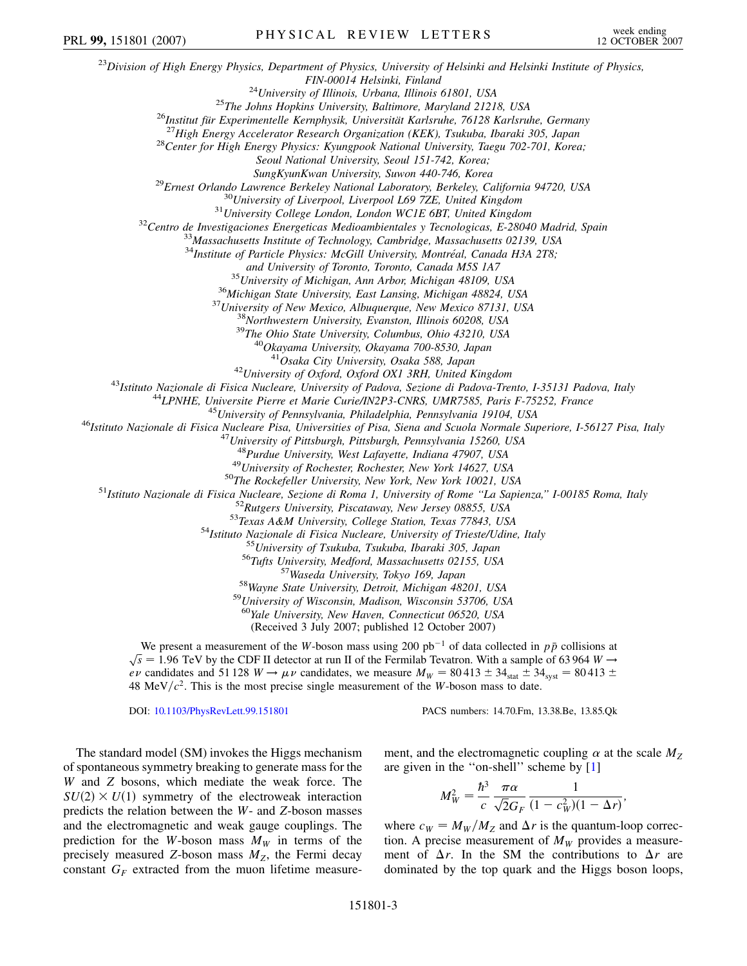<sup>23</sup>*Division of High Energy Physics, Department of Physics, University of Helsinki and Helsinki Institute of Physics, FIN-00014 Helsinki, Finland*<br><sup>24</sup>University of Illinois, Urbana, Illinois 61801, USA<br><sup>25</sup>The Johns Hopkins University, Baltimore, Maryland 21218, USA<br><sup>26</sup>Institut für Experimentelle Kernphysik, Universität Karlsruhe, 761 *Seoul National University, Seoul 151-742, Korea;*  $\mu$ SungKyunKwan University, Suwon 440-746, Korea<br><sup>29</sup>Ernest Orlando Lawrence Berkeley National Laboratory, Berkeley, California 94720, USA<br><sup>30</sup>University of Liverpool, Liverpool L69 7ZE, United Kingdom<br><sup>31</sup>University Col <sup>34</sup>Institute of Particle Physics: McGill University, Montréal, Canada H3A 2T8; and University of Toronto, Toronto, Canada M5S 1A7<br><sup>35</sup> University of Michigan, Ann Arbor, Michigan 48109, USA<br><sup>36</sup> Michigan State University, East Lansing, Michigan 48824, USA<br><sup>37</sup> University of New Mexico, Albuquerque, N <sup>42</sup>University of Oxford, Oxford OX1 3RH, United Kingdom<br><sup>43</sup>Istituto Nazionale di Fisica Nucleare, University of Padova, Sezione di Padova-Trento, I-35131 Padova, Italy<br><sup>44</sup>LPNHE, Universite Pierre et Marie Curie/IN2P3-C <sup>48</sup>Purdue University, West Lafayette, Indiana 47907, USA<br><sup>49</sup>University of Rochester, Rochester, New York 14627, USA<br><sup>49</sup>University of Rochester, Rochester, New York 14627, USA<br><sup>51</sup>Istituto Nazionale di Fisica Nucleare, <sup>60</sup>*Yale University, New Haven, Connecticut 06520, USA* (Received 3 July 2007; published 12 October 2007) We present a measurement of the *W*-boson mass using 200 pb<sup>-1</sup> of data collected in  $p\bar{p}$  collisions at we present a measurement or the *w*-boson mass using 200 pot or data conected in *pp* consions at  $\sqrt{s}$  = 1.96 TeV by the CDF II detector at run II of the Fermilab Tevatron. With a sample of 63 964 *W*  $\rightarrow$ *ev* candidates and 51 128  $W \rightarrow \mu \nu$  candidates, we measure  $M_W = 80413 \pm 34$ <sub>stat</sub>  $\pm 34$ <sub>syst</sub> = 80413  $\pm$ 48 MeV/ $c^2$ . This is the most precise single measurement of the *W*-boson mass to date. PRL 99, 151801 (2007) PHYSICAL REVIEW LETTERS week ending

DOI: [10.1103/PhysRevLett.99.151801](http://dx.doi.org/10.1103/PhysRevLett.99.151801) PACS numbers: 14.70.Fm, 13.38.Be, 13.85.Qk

The standard model (SM) invokes the Higgs mechanism of spontaneous symmetry breaking to generate mass for the *W* and *Z* bosons, which mediate the weak force. The  $SU(2) \times U(1)$  symmetry of the electroweak interaction predicts the relation between the *W*- and *Z*-boson masses and the electromagnetic and weak gauge couplings. The prediction for the *W*-boson mass  $M_W$  in terms of the precisely measured *Z*-boson mass  $M<sub>Z</sub>$ , the Fermi decay constant  $G_F$  extracted from the muon lifetime measurement, and the electromagnetic coupling  $\alpha$  at the scale  $M_7$ are given in the ''on-shell'' scheme by [[1](#page-8-17)]

$$
M_W^2 = \frac{\hbar^3}{c} \frac{\pi \alpha}{\sqrt{2}G_F} \frac{1}{(1 - c_W^2)(1 - \Delta r)},
$$

where  $c_W = M_W/M_Z$  and  $\Delta r$  is the quantum-loop correction. A precise measurement of  $M_W$  provides a measurement of  $\Delta r$ . In the SM the contributions to  $\Delta r$  are dominated by the top quark and the Higgs boson loops,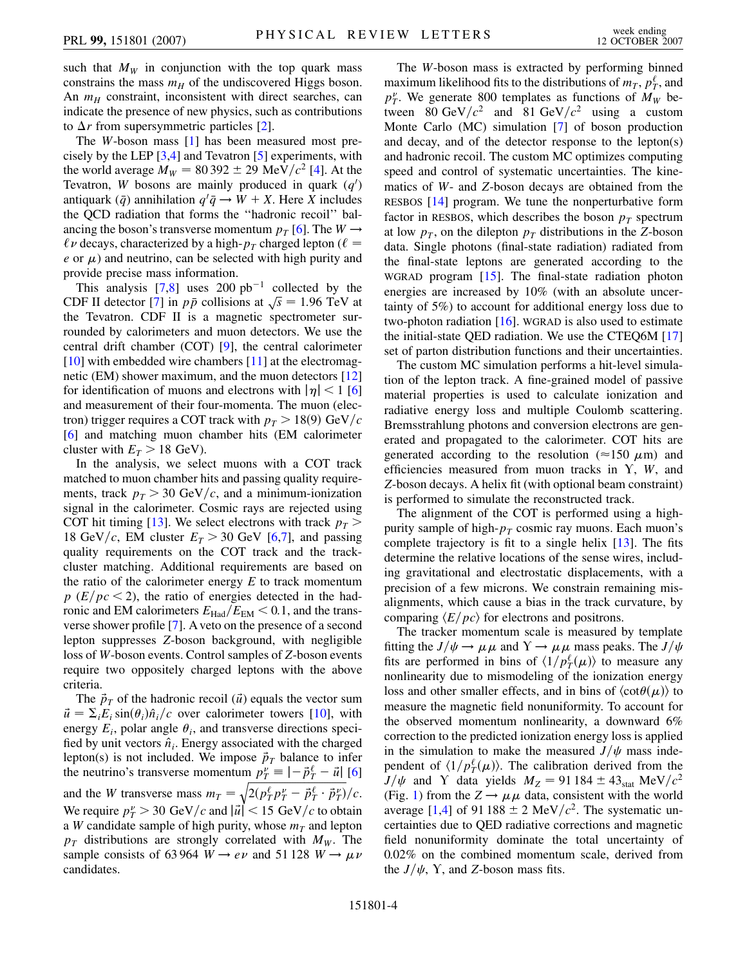such that  $M_W$  in conjunction with the top quark mass constrains the mass  $m_H$  of the undiscovered Higgs boson. An  $m_H$  constraint, inconsistent with direct searches, can indicate the presence of new physics, such as contributions to  $\Delta r$  from supersymmetric particles [[2](#page-8-18)].

The *W*-boson mass [[1\]](#page-8-17) has been measured most precisely by the LEP [[3,](#page-8-19)[4\]](#page-8-20) and Tevatron [\[5](#page-8-21)] experiments, with the world average  $M_W = 80392 \pm 29 \text{ MeV}/c^2$  [\[4](#page-8-20)]. At the Tevatron, *W* bosons are mainly produced in quark  $(q)$ antiquark  $(\bar{q})$  annihilation  $q' \bar{q} \rightarrow W + X$ . Here *X* includes the QCD radiation that forms the ''hadronic recoil'' balancing the boson's transverse momentum  $p_T$  [[6\]](#page-8-22). The  $W \rightarrow$  $\ell \nu$  decays, characterized by a high- $p_T$  charged lepton ( $\ell =$  $e$  or  $\mu$ ) and neutrino, can be selected with high purity and provide precise mass information.

This analysis  $[7,8]$  $[7,8]$  $[7,8]$  uses 200 pb<sup>-1</sup> collected by the This analysis [[7](#page-8-23),8] uses 200 pp  $\cdot$  conected by the CDF II detector [7] in  $p\bar{p}$  collisions at  $\sqrt{s} = 1.96$  TeV at the Tevatron. CDF II is a magnetic spectrometer surrounded by calorimeters and muon detectors. We use the central drift chamber (COT) [\[9\]](#page-8-25), the central calorimeter  $[10]$  with embedded wire chambers  $[11]$  at the electromagnetic (EM) shower maximum, and the muon detectors [\[12\]](#page-8-28) for identification of muons and electrons with  $|\eta|$  < 1 [\[6\]](#page-8-22) and measurement of their four-momenta. The muon (electron) trigger requires a COT track with  $p_T > 18(9) \text{ GeV}/c$ [\[6\]](#page-8-22) and matching muon chamber hits (EM calorimeter cluster with  $E_T > 18$  GeV).

In the analysis, we select muons with a COT track matched to muon chamber hits and passing quality requirements, track  $p_T > 30 \text{ GeV}/c$ , and a minimum-ionization signal in the calorimeter. Cosmic rays are rejected using COT hit timing [[13](#page-8-29)]. We select electrons with track  $p_T$  > 18 GeV/c, EM cluster  $E_T > 30$  GeV [\[6](#page-8-22)[,7\]](#page-8-23), and passing quality requirements on the COT track and the trackcluster matching. Additional requirements are based on the ratio of the calorimeter energy *E* to track momentum  $p(E/pc < 2)$ , the ratio of energies detected in the hadronic and EM calorimeters  $E_{\text{Had}}/E_{\text{EM}}$  < 0.1, and the transverse shower profile [\[7](#page-8-23)]. A veto on the presence of a second lepton suppresses *Z*-boson background, with negligible loss of *W*-boson events. Control samples of *Z*-boson events require two oppositely charged leptons with the above criteria.

The  $\vec{p}_T$  of the hadronic recoil ( $\vec{u}$ ) equals the vector sum  $\vec{u} = \sum_i E_i \sin(\theta_i) \hat{n}_i/c$  over calorimeter towers [\[10\]](#page-8-26), with energy  $E_i$ , polar angle  $\theta_i$ , and transverse directions specified by unit vectors  $\hat{n}_i$ . Energy associated with the charged lepton(s) is not included. We impose  $\vec{p}_T$  balance to infer the neutrino's transverse momentum  $p_T^{\nu} \equiv \left| -\vec{p}_T^{\ell} - \vec{u} \right|$  [\[6\]](#page-8-22) and the *W* transverse mass  $m_T = \sqrt{2(p_T^{\ell} p_T^{\nu} - \vec{p}_T^{\ell} \cdot \vec{p}_T^{\nu})}$  $2(p_T^{\ell} p_T^{\nu} - \vec{p}_T^{\ell} \cdot \vec{p}_T^{\nu})$  $\tilde{a}$  $\int \! c$ . We require  $p_T^{\nu} > 30 \text{ GeV}/c$  and  $|\vec{u}| < 15 \text{ GeV}/c$  to obtain a *W* candidate sample of high purity, whose  $m<sub>T</sub>$  and lepton  $p_T$  distributions are strongly correlated with  $M_W$ . The sample consists of 63964  $W \rightarrow e \nu$  and 51128  $W \rightarrow \mu \nu$ candidates.

The *W*-boson mass is extracted by performing binned maximum likelihood fits to the distributions of  $m<sub>T</sub>$ ,  $p<sub>T</sub><sup>\ell</sup>$ , and  $p_T^{\nu}$ . We generate 800 templates as functions of  $M_W$  between 80 GeV/ $c^2$  and 81 GeV/ $c^2$  using a custom Monte Carlo (MC) simulation [[7](#page-8-23)] of boson production and decay, and of the detector response to the lepton(s) and hadronic recoil. The custom MC optimizes computing speed and control of systematic uncertainties. The kinematics of *W*- and *Z*-boson decays are obtained from the RESBOS [[14](#page-8-30)] program. We tune the nonperturbative form factor in RESBOS, which describes the boson  $p<sub>T</sub>$  spectrum at low  $p<sub>T</sub>$ , on the dilepton  $p<sub>T</sub>$  distributions in the *Z*-boson data. Single photons (final-state radiation) radiated from the final-state leptons are generated according to the WGRAD program [[15](#page-8-31)]. The final-state radiation photon energies are increased by 10% (with an absolute uncertainty of 5%) to account for additional energy loss due to two-photon radiation [\[16\]](#page-8-32). WGRAD is also used to estimate the initial-state QED radiation. We use the CTEQ6M [\[17\]](#page-8-33) set of parton distribution functions and their uncertainties.

The custom MC simulation performs a hit-level simulation of the lepton track. A fine-grained model of passive material properties is used to calculate ionization and radiative energy loss and multiple Coulomb scattering. Bremsstrahlung photons and conversion electrons are generated and propagated to the calorimeter. COT hits are generated according to the resolution ( $\approx$ 150  $\mu$ m) and efficiencies measured from muon tracks in  $Y$ ,  $W$ , and *Z*-boson decays. A helix fit (with optional beam constraint) is performed to simulate the reconstructed track.

The alignment of the COT is performed using a highpurity sample of high- $p_T$  cosmic ray muons. Each muon's complete trajectory is fit to a single helix [[13](#page-8-29)]. The fits determine the relative locations of the sense wires, including gravitational and electrostatic displacements, with a precision of a few microns. We constrain remaining misalignments, which cause a bias in the track curvature, by comparing  $\langle E/pc \rangle$  for electrons and positrons.

The tracker momentum scale is measured by template fitting the  $J/\psi \rightarrow \mu \mu$  and  $Y \rightarrow \mu \mu$  mass peaks. The  $J/\psi$ fits are performed in bins of  $\langle 1/p_T^{\ell}(\mu) \rangle$  to measure any nonlinearity due to mismodeling of the ionization energy loss and other smaller effects, and in bins of  $\langle \cot \theta(\mu) \rangle$  to measure the magnetic field nonuniformity. To account for the observed momentum nonlinearity, a downward 6% correction to the predicted ionization energy loss is applied in the simulation to make the measured  $J/\psi$  mass independent of  $\langle 1/p_T^{\ell}(\mu) \rangle$ . The calibration derived from the  $J/\psi$  and Y data yields  $M_Z = 91\,184 \pm 43_{stat} \text{ MeV}/c^2$ (Fig. [1](#page-6-0)) from the  $Z \rightarrow \mu \mu$  data, consistent with the world average [\[1,](#page-8-17)[4](#page-8-20)] of 91 188  $\pm$  2 MeV/ $c^2$ . The systematic uncertainties due to QED radiative corrections and magnetic field nonuniformity dominate the total uncertainty of 0.02% on the combined momentum scale, derived from the  $J/\psi$ , Y, and Z-boson mass fits.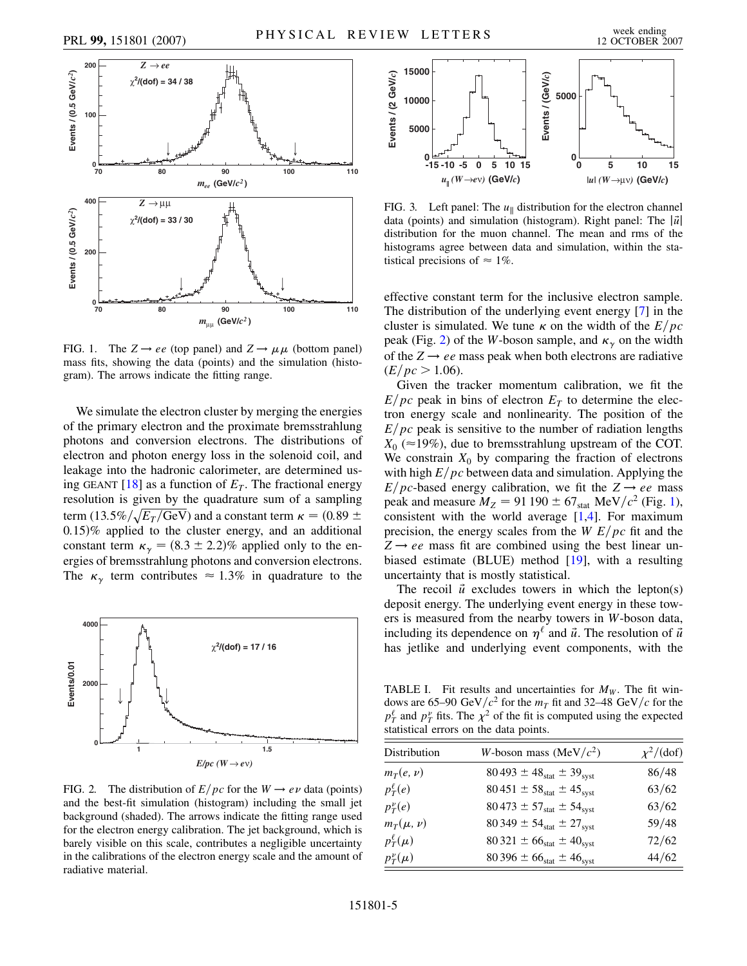

<span id="page-6-0"></span>

FIG. 1. The  $Z \rightarrow ee$  (top panel) and  $Z \rightarrow \mu \mu$  (bottom panel) mass fits, showing the data (points) and the simulation (histogram). The arrows indicate the fitting range.

We simulate the electron cluster by merging the energies of the primary electron and the proximate bremsstrahlung photons and conversion electrons. The distributions of electron and photon energy loss in the solenoid coil, and leakage into the hadronic calorimeter, are determined using GEANT  $[18]$  $[18]$  $[18]$  as a function of  $E<sub>T</sub>$ . The fractional energy resolution is given by the quadrature sum of a sampling term  $(13.5\% / \sqrt{E_T / \text{GeV}})$  and a constant term  $\kappa = (0.89 \pm 1)$ 0*:*15% applied to the cluster energy, and an additional constant term  $\kappa_{\gamma} = (8.3 \pm 2.2)\%$  applied only to the energies of bremsstrahlung photons and conversion electrons. The  $\kappa_{\gamma}$  term contributes  $\approx 1.3\%$  in quadrature to the

<span id="page-6-1"></span>

FIG. 2. The distribution of  $E/pc$  for the  $W \rightarrow e\nu$  data (points) and the best-fit simulation (histogram) including the small jet background (shaded). The arrows indicate the fitting range used for the electron energy calibration. The jet background, which is barely visible on this scale, contributes a negligible uncertainty in the calibrations of the electron energy scale and the amount of radiative material.

<span id="page-6-2"></span>

FIG. 3. Left panel: The  $u_{\parallel}$  distribution for the electron channel data (points) and simulation (histogram). Right panel: The  $|\vec{u}|$ distribution for the muon channel. The mean and rms of the histograms agree between data and simulation, within the statistical precisions of  $\approx 1\%$ .

effective constant term for the inclusive electron sample. The distribution of the underlying event energy [[7](#page-8-23)] in the cluster is simulated. We tune  $\kappa$  on the width of the  $E/pc$ peak (Fig. [2\)](#page-6-1) of the *W*-boson sample, and  $\kappa_{\gamma}$  on the width of the  $Z \rightarrow ee$  mass peak when both electrons are radiative  $(E/pc > 1.06)$ .

Given the tracker momentum calibration, we fit the  $E/pc$  peak in bins of electron  $E<sub>T</sub>$  to determine the electron energy scale and nonlinearity. The position of the  $E/pc$  peak is sensitive to the number of radiation lengths  $X_0$  ( $\approx$ 19%), due to bremsstrahlung upstream of the COT. We constrain  $X_0$  by comparing the fraction of electrons with high  $E/pc$  between data and simulation. Applying the *E*/ $pc$ -based energy calibration, we fit the  $Z \rightarrow ee$  mass peak and measure  $M_Z = 91\,190 \pm 67_{\text{stat}}$  MeV/ $c^2$  (Fig. [1\)](#page-6-0), consistent with the world average  $[1,4]$  $[1,4]$  $[1,4]$ . For maximum precision, the energy scales from the *W E/pc* fit and the  $Z \rightarrow ee$  mass fit are combined using the best linear unbiased estimate (BLUE) method [\[19\]](#page-8-35), with a resulting uncertainty that is mostly statistical.

The recoil  $\vec{u}$  excludes towers in which the lepton(s) deposit energy. The underlying event energy in these towers is measured from the nearby towers in *W*-boson data, including its dependence on  $\eta^{\ell}$  and  $\vec{u}$ . The resolution of  $\vec{u}$ has jetlike and underlying event components, with the

<span id="page-6-3"></span>TABLE I. Fit results and uncertainties for  $M_W$ . The fit windows are 65–90 GeV/ $c^2$  for the  $m<sub>T</sub>$  fit and 32–48 GeV/ $c$  for the  $p_T^{\ell}$  and  $p_T^{\nu}$  fits. The  $\chi^2$  of the fit is computed using the expected statistical errors on the data points.

| Distribution      | W-boson mass (MeV/ $c2$ )             | $\chi^2/$ (dof) |
|-------------------|---------------------------------------|-----------------|
| $m_T(e, \nu)$     | $80\,493 \pm 48_{stat} \pm 39_{syst}$ | 86/48           |
| $p_T^{\ell}(e)$   | $80\,451 \pm 58_{stat} \pm 45_{syst}$ | 63/62           |
| $p_T^{\nu}(e)$    | $80\,473 \pm 57_{stat} \pm 54_{syst}$ | 63/62           |
| $m_T(\mu, \nu)$   | $80349 \pm 54_{stat} \pm 27_{syst}$   | 59/48           |
| $p_T^{\ell}(\mu)$ | $80321 \pm 66_{stat} \pm 40_{syst}$   | 72/62           |
| $p_T^{\nu}(\mu)$  | $80\,396 \pm 66_{stat} \pm 46_{syst}$ | 44/62           |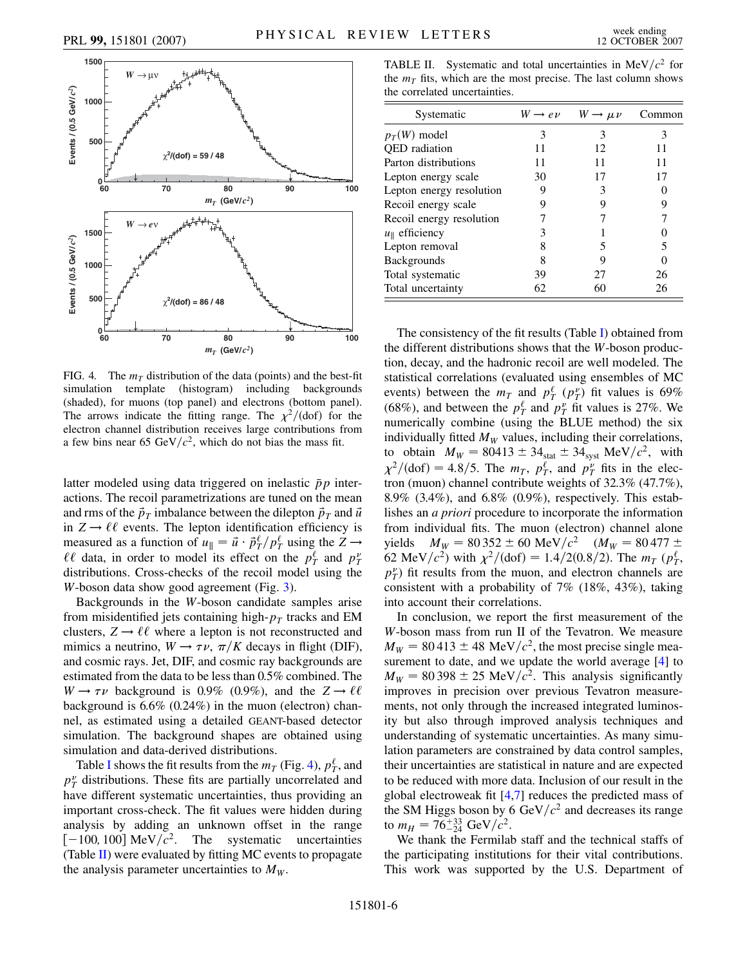<span id="page-7-0"></span>

FIG. 4. The  $m<sub>T</sub>$  distribution of the data (points) and the best-fit simulation template (histogram) including backgrounds (shaded), for muons (top panel) and electrons (bottom panel). The arrows indicate the fitting range. The  $\chi^2/$  (dof) for the electron channel distribution receives large contributions from a few bins near 65 GeV/ $c^2$ , which do not bias the mass fit.

latter modeled using data triggered on inelastic  $\bar{p}p$  interactions. The recoil parametrizations are tuned on the mean and rms of the  $\vec{p}_T$  imbalance between the dilepton  $\vec{p}_T$  and  $\vec{u}$ in  $Z \rightarrow \ell \ell$  events. The lepton identification efficiency is measured as a function of  $u_{\parallel} = \vec{u} \cdot \vec{p}_{T}^{\ell}/p_{T}^{\ell}$  using the  $Z \rightarrow$  $\ell\ell$  data, in order to model its effect on the  $p_T^{\ell}$  and  $p_T^{\nu}$ distributions. Cross-checks of the recoil model using the *W*-boson data show good agreement (Fig. [3](#page-6-2)).

Backgrounds in the *W*-boson candidate samples arise from misidentified jets containing high- $p<sub>T</sub>$  tracks and EM clusters,  $Z \rightarrow \ell \ell$  where a lepton is not reconstructed and mimics a neutrino,  $W \rightarrow \tau \nu$ ,  $\pi/K$  decays in flight (DIF), and cosmic rays. Jet, DIF, and cosmic ray backgrounds are estimated from the data to be less than 0.5% combined. The  $W \rightarrow \tau \nu$  background is 0.9% (0.9%), and the  $Z \rightarrow \ell \ell$ background is 6.6% (0.24%) in the muon (electron) channel, as estimated using a detailed GEANT-based detector simulation. The background shapes are obtained using simulation and data-derived distributions.

Table [I](#page-6-3) shows the fit results from the  $m_T$  (Fig. [4](#page-7-0)),  $p_T^{\ell}$ , and  $p_T^{\nu}$  distributions. These fits are partially uncorrelated and have different systematic uncertainties, thus providing an important cross-check. The fit values were hidden during analysis by adding an unknown offset in the range  $[-100, 100]$  MeV/ $c^2$ . The systematic uncertainties (Table [II\)](#page-7-1) were evaluated by fitting MC events to propagate the analysis parameter uncertainties to  $M_W$ .

<span id="page-7-1"></span>TABLE II. Systematic and total uncertainties in  $MeV/c<sup>2</sup>$  for the  $m<sub>T</sub>$  fits, which are the most precise. The last column shows the correlated uncertainties.

| Systematic                 | $W \rightarrow e \nu$ | $W \rightarrow \mu \nu$ | Common |
|----------------------------|-----------------------|-------------------------|--------|
| $p_T(W)$ model             | 3                     | 3                       | 3      |
| <b>OED</b> radiation       | 11                    | 12                      | 11     |
| Parton distributions       | 11                    | 11                      | 11     |
| Lepton energy scale        | 30                    | 17                      | 17     |
| Lepton energy resolution   |                       | 3                       |        |
| Recoil energy scale        |                       | Q                       | 9      |
| Recoil energy resolution   |                       |                         |        |
| $u_{\parallel}$ efficiency | 3                     |                         |        |
| Lepton removal             |                       | 5                       |        |
| <b>Backgrounds</b>         |                       | 9                       |        |
| Total systematic           | 39                    | 27                      | 26     |
| Total uncertainty          | 62                    | 60                      | 26     |

The consistency of the fit results (Table [I](#page-6-3)) obtained from the different distributions shows that the *W*-boson production, decay, and the hadronic recoil are well modeled. The statistical correlations (evaluated using ensembles of MC events) between the  $m_T$  and  $p_T^{\ell}(p_T^{\nu})$  fit values is 69% (68%), and between the  $p_T^{\ell}$  and  $p_T^{\nu}$  fit values is 27%. We numerically combine (using the BLUE method) the six individually fitted  $M_W$  values, including their correlations, to obtain  $M_W = 80413 \pm 34_{stat} \pm 34_{syst} \text{ MeV}/c^2$ , with  $\chi^2/$ (dof) = 4*:*8/5. The  $m_T$ ,  $p_T^{\ell}$ , and  $p_T^{\nu}$  fits in the electron (muon) channel contribute weights of 32.3% (47.7%), 8.9% (3.4%), and 6.8% (0.9%), respectively. This establishes an *a priori* procedure to incorporate the information from individual fits. The muon (electron) channel alone yields  $M_W = 80352 \pm 60 \text{ MeV}/c^2$   $(M_W = 80477 \pm 1000 \text{ MeV})$ 62 MeV/ $c^2$ ) with  $\chi^2$ /(dof) = 1.4/2(0.8/2). The  $m<sub>T</sub>$  ( $p_T^{\ell}$ ,  $p_T^{\nu}$ ) fit results from the muon, and electron channels are consistent with a probability of  $7\%$  (18%, 43%), taking into account their correlations.

In conclusion, we report the first measurement of the *W*-boson mass from run II of the Tevatron. We measure  $M_W = 80413 \pm 48$  MeV/ $c^2$ , the most precise single measurement to date, and we update the world average [[4](#page-8-20)] to  $M_W = 80398 \pm 25$  MeV/ $c^2$ . This analysis significantly improves in precision over previous Tevatron measurements, not only through the increased integrated luminosity but also through improved analysis techniques and understanding of systematic uncertainties. As many simulation parameters are constrained by data control samples, their uncertainties are statistical in nature and are expected to be reduced with more data. Inclusion of our result in the global electroweak fit [[4,](#page-8-20)[7\]](#page-8-23) reduces the predicted mass of the SM Higgs boson by 6 GeV $/c^2$  and decreases its range to  $m_H = 76^{+33}_{-24}$  GeV/ $c^2$ .

We thank the Fermilab staff and the technical staffs of the participating institutions for their vital contributions. This work was supported by the U.S. Department of